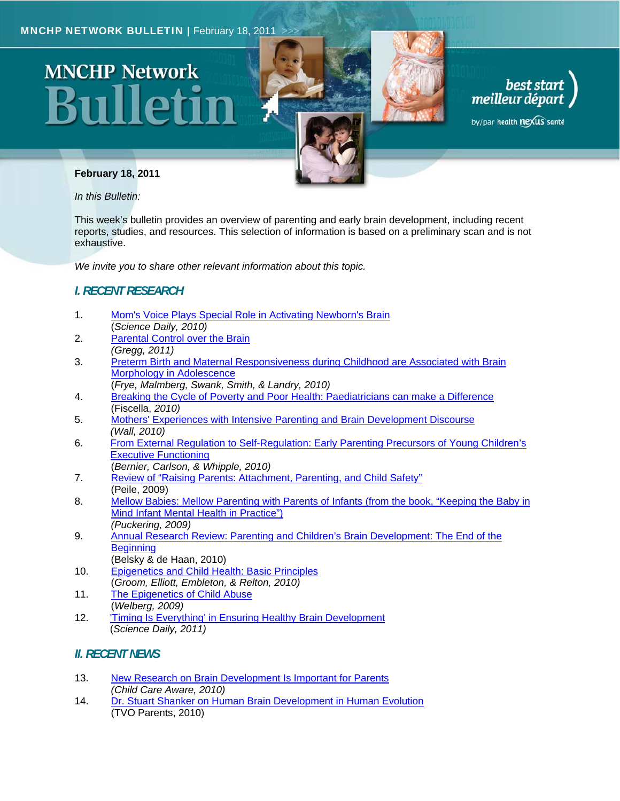# **MNCHP Network**





by/par health nexus santé

#### **February 18, 2011**

*In this Bulletin:* 

This week's bulletin provides an overview of parenting and early brain development, including recent reports, studies, and resources. This selection of information is based on a preliminary scan and is not exhaustive.

*We invite you to share other relevant information about this topic.* 

### *I. RECENT RESEARCH*

- 1. Mom's Voice Plays Special Role in Activating Newborn's Brain (*Science Daily, 2010)*
- 2. Parental Control over the Brain *(Gregg, 2011)*
- 3. Preterm Birth and Maternal Responsiveness during Childhood are Associated with Brain Morphology in Adolescence
- (*Frye, Malmberg, Swank, Smith, & Landry, 2010)*
- 4. Breaking the Cycle of Poverty and Poor Health: Paediatricians can make a Difference (Fiscella, *2010)*
- 5. Mothers' Experiences with Intensive Parenting and Brain Development Discourse *(Wall, 2010)*
- 6. From External Regulation to Self-Regulation: Early Parenting Precursors of Young Children's Executive Functioning
- (*Bernier, Carlson, & Whipple, 2010)*
- 7. Review of "Raising Parents: Attachment, Parenting, and Child Safety" (Peile, 2009)
- 8. Mellow Babies: Mellow Parenting with Parents of Infants (from the book, "Keeping the Baby in Mind Infant Mental Health in Practice") *(Puckering, 2009)*
- 9. Annual Research Review: Parenting and Children's Brain Development: The End of the **Beginning** (Belsky & de Haan, 2010)
- 10. Epigenetics and Child Health: Basic Principles (*Groom, Elliott, Embleton, & Relton, 2010)*
- 11. The Epigenetics of Child Abuse (*Welberg, 2009)*
- 12. 'Timing Is Everything' in Ensuring Healthy Brain Development (*Science Daily, 2011)*

#### *II. RECENT NEWS*

- 13. New Research on Brain Development Is Important for Parents *(Child Care Aware, 2010)*
- 14. Dr. Stuart Shanker on Human Brain Development in Human Evolution (TVO Parents, 2010)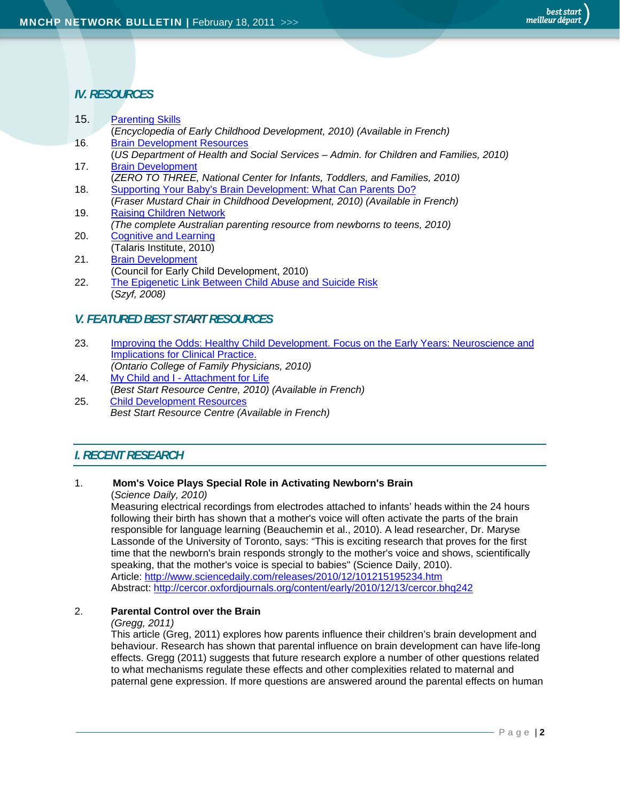15. Parenting Skills

#### *IV. RESOURCES*

| IJ. | <b>Parenting Skills</b>                                                                |
|-----|----------------------------------------------------------------------------------------|
|     | Encyclopedia of Early Childhood Development, 2010) (Available in French)               |
| 16. | <b>Brain Development Resources</b>                                                     |
|     | (US Department of Health and Social Services – Admin. for Children and Families, 2010) |
| 17. | <b>Brain Development</b>                                                               |
|     | (ZERO TO THREE, National Center for Infants, Toddlers, and Families, 2010)             |
| 18. | Supporting Your Baby's Brain Development: What Can Parents Do?                         |
|     | (Fraser Mustard Chair in Childhood Development, 2010) (Available in French)            |
| 19. | <b>Raising Children Network</b>                                                        |
|     | (The complete Australian parenting resource from newborns to teens, 2010)              |
| 20. | <b>Cognitive and Learning</b>                                                          |
|     | (Talaris Institute, 2010)                                                              |
| 21. | <b>Brain Development</b>                                                               |
|     | (Council for Early Child Development, 2010)                                            |
| 22. | The Epigenetic Link Between Child Abuse and Suicide Risk                               |
|     | Szyf, 2008)                                                                            |
|     |                                                                                        |

#### *V. FEATURED BEST START RESOURCES*

- 23. Improving the Odds: Healthy Child Development. Focus on the Early Years: Neuroscience and Implications for Clinical Practice.
- *(Ontario College of Family Physicians, 2010)*  24. My Child and I - Attachment for Life
- (*Best Start Resource Centre, 2010) (Available in French)*
- 25. Child Development Resources *Best Start Resource Centre (Available in French)*

#### *I. RECENT RESEARCH*

#### 1. **Mom's Voice Plays Special Role in Activating Newborn's Brain**

(*Science Daily, 2010)* 

Measuring electrical recordings from electrodes attached to infants' heads within the 24 hours following their birth has shown that a mother's voice will often activate the parts of the brain responsible for language learning (Beauchemin et al., 2010). A lead researcher, Dr. Maryse Lassonde of the University of Toronto, says: "This is exciting research that proves for the first time that the newborn's brain responds strongly to the mother's voice and shows, scientifically speaking, that the mother's voice is special to babies" (Science Daily, 2010). Article: http://www.sciencedaily.com/releases/2010/12/101215195234.htm Abstract: http://cercor.oxfordjournals.org/content/early/2010/12/13/cercor.bhq242

#### 2. **Parental Control over the Brain**

#### *(Gregg, 2011)*

 This article (Greg, 2011) explores how parents influence their children's brain development and behaviour. Research has shown that parental influence on brain development can have life-long effects. Gregg (2011) suggests that future research explore a number of other questions related to what mechanisms regulate these effects and other complexities related to maternal and paternal gene expression. If more questions are answered around the parental effects on human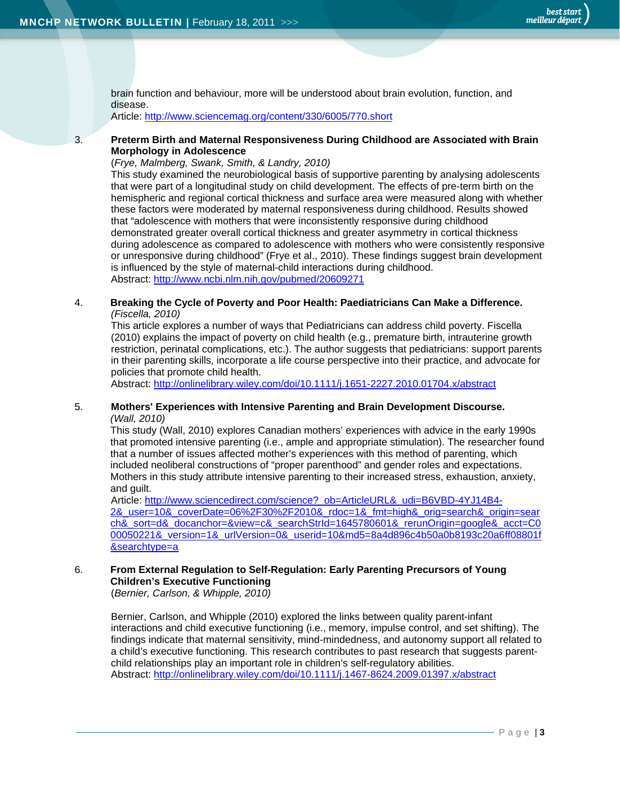brain function and behaviour, more will be understood about brain evolution, function, and disease.

Article: http://www.sciencemag.org/content/330/6005/770.short

3. **Preterm Birth and Maternal Responsiveness During Childhood are Associated with Brain Morphology in Adolescence** 

(*Frye, Malmberg, Swank, Smith, & Landry, 2010)* 

 This study examined the neurobiological basis of supportive parenting by analysing adolescents that were part of a longitudinal study on child development. The effects of pre-term birth on the hemispheric and regional cortical thickness and surface area were measured along with whether these factors were moderated by maternal responsiveness during childhood. Results showed that "adolescence with mothers that were inconsistently responsive during childhood demonstrated greater overall cortical thickness and greater asymmetry in cortical thickness during adolescence as compared to adolescence with mothers who were consistently responsive or unresponsive during childhood" (Frye et al., 2010). These findings suggest brain development is influenced by the style of maternal-child interactions during childhood. Abstract: http://www.ncbi.nlm.nih.gov/pubmed/20609271

#### 4. **Breaking the Cycle of Poverty and Poor Health: Paediatricians Can Make a Difference.**  *(Fiscella, 2010)*

This article explores a number of ways that Pediatricians can address child poverty. Fiscella (2010) explains the impact of poverty on child health (e.g., premature birth, intrauterine growth restriction, perinatal complications, etc.). The author suggests that pediatricians: support parents in their parenting skills, incorporate a life course perspective into their practice, and advocate for policies that promote child health.

Abstract: http://onlinelibrary.wiley.com/doi/10.1111/j.1651-2227.2010.01704.x/abstract

#### 5. **Mothers' Experiences with Intensive Parenting and Brain Development Discourse.**  *(Wall, 2010)*

This study (Wall, 2010) explores Canadian mothers' experiences with advice in the early 1990s that promoted intensive parenting (i.e., ample and appropriate stimulation). The researcher found that a number of issues affected mother's experiences with this method of parenting, which included neoliberal constructions of "proper parenthood" and gender roles and expectations. Mothers in this study attribute intensive parenting to their increased stress, exhaustion, anxiety, and guilt.

Article: http://www.sciencedirect.com/science?\_ob=ArticleURL&\_udi=B6VBD-4YJ14B4- 2&\_user=10&\_coverDate=06%2F30%2F2010&\_rdoc=1&\_fmt=high&\_orig=search&\_origin=sear ch&\_sort=d&\_docanchor=&view=c&\_searchStrId=1645780601&\_rerunOrigin=google&\_acct=C0 00050221&\_version=1&\_urlVersion=0&\_userid=10&md5=8a4d896c4b50a0b8193c20a6ff08801f &searchtype=a

#### 6. **From External Regulation to Self-Regulation: Early Parenting Precursors of Young Children's Executive Functioning**

(*Bernier, Carlson, & Whipple, 2010)* 

Bernier, Carlson, and Whipple (2010) explored the links between quality parent-infant interactions and child executive functioning (i.e., memory, impulse control, and set shifting). The findings indicate that maternal sensitivity, mind-mindedness, and autonomy support all related to a child's executive functioning. This research contributes to past research that suggests parentchild relationships play an important role in children's self-regulatory abilities. Abstract: http://onlinelibrary.wiley.com/doi/10.1111/j.1467-8624.2009.01397.x/abstract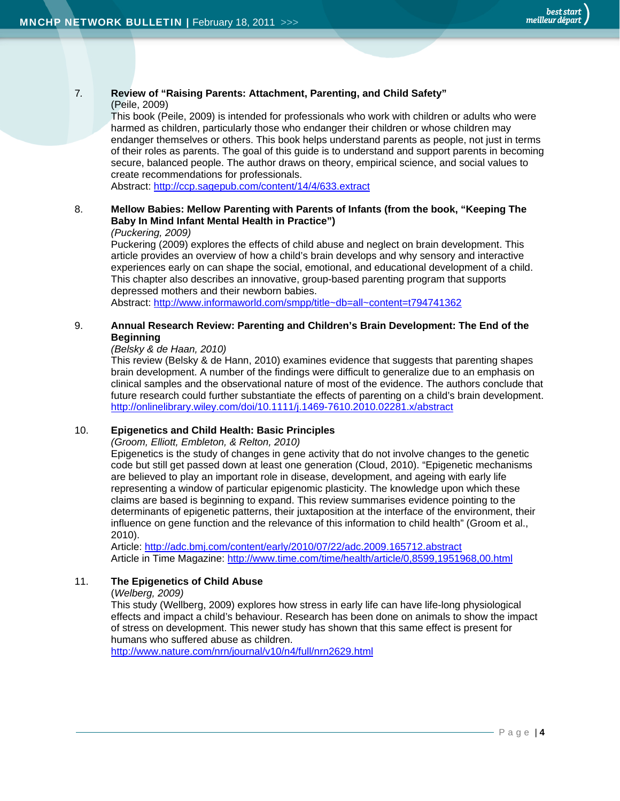# 7*.* **Review of "Raising Parents: Attachment, Parenting, and Child Safety"**

#### (Peile, 2009)

This book (Peile, 2009) is intended for professionals who work with children or adults who were harmed as children, particularly those who endanger their children or whose children may endanger themselves or others. This book helps understand parents as people, not just in terms of their roles as parents. The goal of this guide is to understand and support parents in becoming secure, balanced people. The author draws on theory, empirical science, and social values to create recommendations for professionals.

Abstract: http://ccp.sagepub.com/content/14/4/633.extract

#### 8. **Mellow Babies: Mellow Parenting with Parents of Infants (from the book, "Keeping The Baby In Mind Infant Mental Health in Practice")**

#### *(Puckering, 2009)*

Puckering (2009) explores the effects of child abuse and neglect on brain development. This article provides an overview of how a child's brain develops and why sensory and interactive experiences early on can shape the social, emotional, and educational development of a child. This chapter also describes an innovative, group-based parenting program that supports depressed mothers and their newborn babies.

Abstract: http://www.informaworld.com/smpp/title~db=all~content=t794741362

#### 9. **Annual Research Review: Parenting and Children's Brain Development: The End of the Beginning**

#### *(Belsky & de Haan, 2010)*

 This review (Belsky & de Hann, 2010) examines evidence that suggests that parenting shapes brain development. A number of the findings were difficult to generalize due to an emphasis on clinical samples and the observational nature of most of the evidence. The authors conclude that future research could further substantiate the effects of parenting on a child's brain development. http://onlinelibrary.wiley.com/doi/10.1111/j.1469-7610.2010.02281.x/abstract

#### 10. **Epigenetics and Child Health: Basic Principles**

*(Groom, Elliott, Embleton, & Relton, 2010)* 

Epigenetics is the study of changes in gene activity that do not involve changes to the genetic code but still get passed down at least one generation (Cloud, 2010). "Epigenetic mechanisms are believed to play an important role in disease, development, and ageing with early life representing a window of particular epigenomic plasticity. The knowledge upon which these claims are based is beginning to expand. This review summarises evidence pointing to the determinants of epigenetic patterns, their juxtaposition at the interface of the environment, their influence on gene function and the relevance of this information to child health" (Groom et al., 2010).

Article: http://adc.bmj.com/content/early/2010/07/22/adc.2009.165712.abstract Article in Time Magazine: http://www.time.com/time/health/article/0,8599,1951968,00.html

#### 11. **The Epigenetics of Child Abuse**

#### (*Welberg, 2009)*

This study (Wellberg, 2009) explores how stress in early life can have life-long physiological effects and impact a child's behaviour. Research has been done on animals to show the impact of stress on development. This newer study has shown that this same effect is present for humans who suffered abuse as children.

http://www.nature.com/nrn/journal/v10/n4/full/nrn2629.html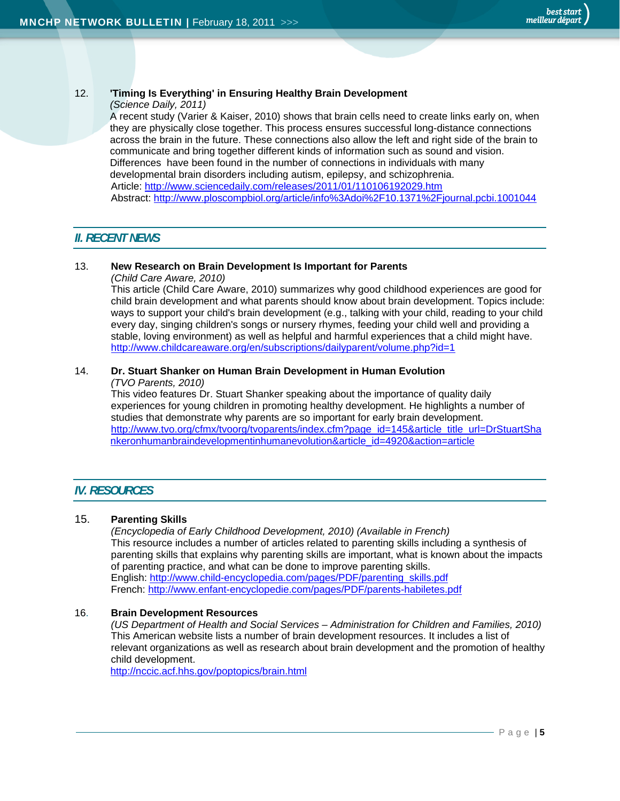#### 12. **'Timing Is Everything' in Ensuring Healthy Brain Development**

#### *(Science Daily, 2011)*

A recent study (Varier & Kaiser, 2010) shows that brain cells need to create links early on, when they are physically close together. This process ensures successful long-distance connections across the brain in the future. These connections also allow the left and right side of the brain to communicate and bring together different kinds of information such as sound and vision. Differences have been found in the number of connections in individuals with many developmental brain disorders including autism, epilepsy, and schizophrenia. Article: http://www.sciencedaily.com/releases/2011/01/110106192029.htm Abstract: http://www.ploscompbiol.org/article/info%3Adoi%2F10.1371%2Fjournal.pcbi.1001044

#### *II. RECENT NEWS*

#### 13. **New Research on Brain Development Is Important for Parents**

*(Child Care Aware, 2010)* 

This article (Child Care Aware, 2010) summarizes why good childhood experiences are good for child brain development and what parents should know about brain development. Topics include: ways to support your child's brain development (e.g., talking with your child, reading to your child every day, singing children's songs or nursery rhymes, feeding your child well and providing a stable, loving environment) as well as helpful and harmful experiences that a child might have. http://www.childcareaware.org/en/subscriptions/dailyparent/volume.php?id=1

# 14. **Dr. Stuart Shanker on Human Brain Development in Human Evolution**

*(TVO Parents, 2010)* 

This video features Dr. Stuart Shanker speaking about the importance of quality daily experiences for young children in promoting healthy development. He highlights a number of studies that demonstrate why parents are so important for early brain development. http://www.tvo.org/cfmx/tvoorg/tvoparents/index.cfm?page\_id=145&article\_title\_url=DrStuartSha nkeronhumanbraindevelopmentinhumanevolution&article\_id=4920&action=article

#### *IV. RESOURCES*

#### 15. **Parenting Skills**

*(Encyclopedia of Early Childhood Development, 2010) (Available in French)*  This resource includes a number of articles related to parenting skills including a synthesis of parenting skills that explains why parenting skills are important, what is known about the impacts of parenting practice, and what can be done to improve parenting skills. English: http://www.child-encyclopedia.com/pages/PDF/parenting\_skills.pdf French: http://www.enfant-encyclopedie.com/pages/PDF/parents-habiletes.pdf

#### 16. **Brain Development Resources**

*(US Department of Health and Social Services – Administration for Children and Families, 2010)*  This American website lists a number of brain development resources. It includes a list of relevant organizations as well as research about brain development and the promotion of healthy child development.

http://nccic.acf.hhs.gov/poptopics/brain.html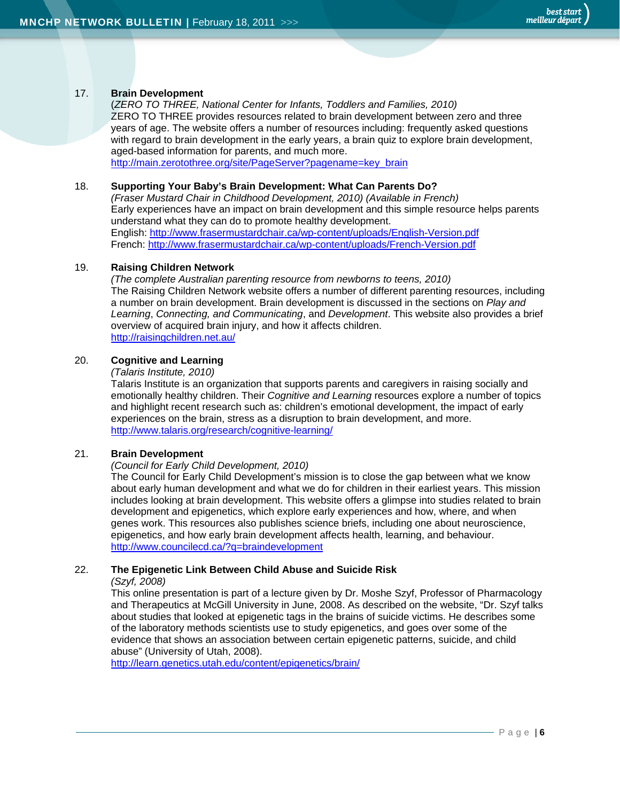#### 17. **Brain Development**

 (*ZERO TO THREE, National Center for Infants, Toddlers and Families, 2010)*  ZERO TO THREE provides resources related to brain development between zero and three years of age. The website offers a number of resources including: frequently asked questions with regard to brain development in the early years, a brain quiz to explore brain development, aged-based information for parents, and much more. http://main.zerotothree.org/site/PageServer?pagename=key\_brain

#### 18. **Supporting Your Baby's Brain Development: What Can Parents Do?**

*(Fraser Mustard Chair in Childhood Development, 2010) (Available in French)*  Early experiences have an impact on brain development and this simple resource helps parents understand what they can do to promote healthy development. English: http://www.frasermustardchair.ca/wp-content/uploads/English-Version.pdf French: http://www.frasermustardchair.ca/wp-content/uploads/French-Version.pdf

#### 19. **Raising Children Network**

*(The complete Australian parenting resource from newborns to teens, 2010)*  The Raising Children Network website offers a number of different parenting resources, including a number on brain development. Brain development is discussed in the sections on *Play and Learning*, *Connecting, and Communicating*, and *Development*. This website also provides a brief overview of acquired brain injury, and how it affects children. http://raisingchildren.net.au/

#### 20. **Cognitive and Learning**

#### *(Talaris Institute, 2010)*

Talaris Institute is an organization that supports parents and caregivers in raising socially and emotionally healthy children. Their *Cognitive and Learning* resources explore a number of topics and highlight recent research such as: children's emotional development, the impact of early experiences on the brain, stress as a disruption to brain development, and more. http://www.talaris.org/research/cognitive-learning/

#### 21. **Brain Development**

#### *(Council for Early Child Development, 2010)*

The Council for Early Child Development's mission is to close the gap between what we know about early human development and what we do for children in their earliest years. This mission includes looking at brain development. This website offers a glimpse into studies related to brain development and epigenetics, which explore early experiences and how, where, and when genes work. This resources also publishes science briefs, including one about neuroscience, epigenetics, and how early brain development affects health, learning, and behaviour. http://www.councilecd.ca/?q=braindevelopment

#### 22. **The Epigenetic Link Between Child Abuse and Suicide Risk**

#### *(Szyf, 2008)*

This online presentation is part of a lecture given by Dr. Moshe Szyf, Professor of Pharmacology and Therapeutics at McGill University in June, 2008. As described on the website, "Dr. Szyf talks about studies that looked at epigenetic tags in the brains of suicide victims. He describes some of the laboratory methods scientists use to study epigenetics, and goes over some of the evidence that shows an association between certain epigenetic patterns, suicide, and child abuse" (University of Utah, 2008).

http://learn.genetics.utah.edu/content/epigenetics/brain/